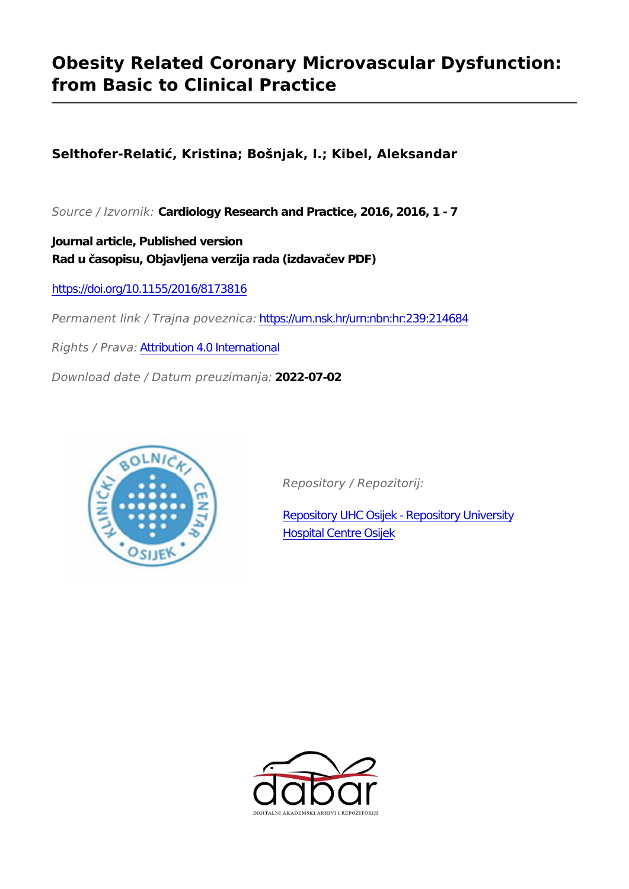# **Obesity Related Coronary Microvascular Dysfunction: from Basic to Clinical Practice**

**Selthofer-Relatić, Kristina; Bošnjak, I.; Kibel, Aleksandar**

*Source / Izvornik:* **Cardiology Research and Practice, 2016, 2016, 1 - 7**

**Journal article, Published version Rad u časopisu, Objavljena verzija rada (izdavačev PDF)**

<https://doi.org/10.1155/2016/8173816>

*Permanent link / Trajna poveznica:* <https://urn.nsk.hr/urn:nbn:hr:239:214684>

*Rights / Prava:* [Attribution 4.0 International](http://creativecommons.org/licenses/by/4.0/)

*Download date / Datum preuzimanja:* **2022-07-02**



*Repository / Repozitorij:*

[Repository UHC Osijek - Repository University](https://repozitorij.kbco.hr) [Hospital Centre Osijek](https://repozitorij.kbco.hr)

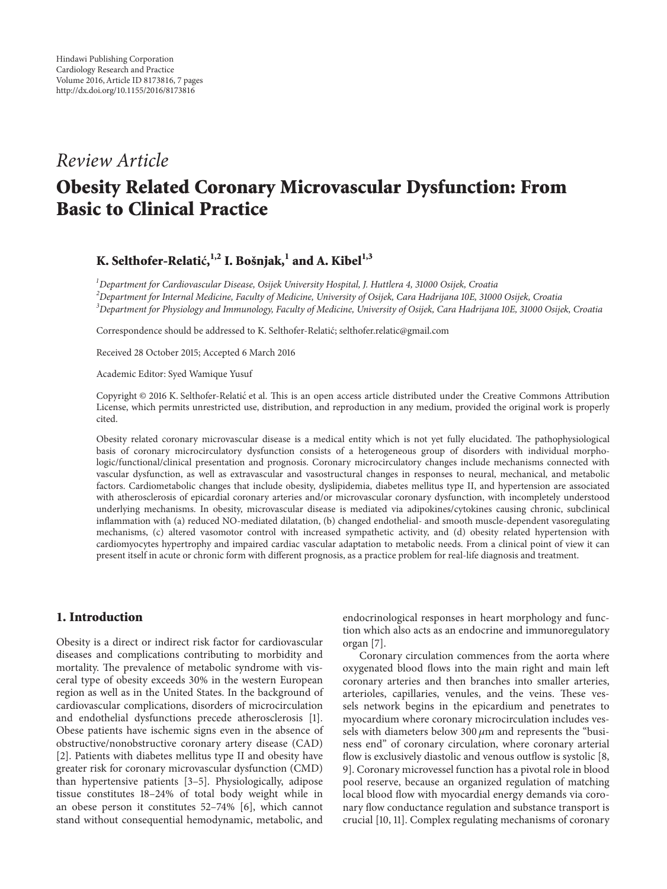## *Review Article*

# **Obesity Related Coronary Microvascular Dysfunction: From Basic to Clinical Practice**

### $K$ . Selthofer-Relatić, <sup>1,2</sup> I. Bošnjak, <sup>1</sup> and A. Kibel<sup>1,3</sup>

*1 Department for Cardiovascular Disease, Osijek University Hospital, J. Huttlera 4, 31000 Osijek, Croatia 2 Department for Internal Medicine, Faculty of Medicine, University of Osijek, Cara Hadrijana 10E, 31000 Osijek, Croatia 3 Department for Physiology and Immunology, Faculty of Medicine, University of Osijek, Cara Hadrijana 10E, 31000 Osijek, Croatia*

Correspondence should be addressed to K. Selthofer-Relatic; selthofer.relatic@gmail.com ´

Received 28 October 2015; Accepted 6 March 2016

Academic Editor: Syed Wamique Yusuf

Copyright © 2016 K. Selthofer-Relatic et al. This is an open access article distributed under the Creative Commons Attribution ´ License, which permits unrestricted use, distribution, and reproduction in any medium, provided the original work is properly cited.

Obesity related coronary microvascular disease is a medical entity which is not yet fully elucidated. The pathophysiological basis of coronary microcirculatory dysfunction consists of a heterogeneous group of disorders with individual morphologic/functional/clinical presentation and prognosis. Coronary microcirculatory changes include mechanisms connected with vascular dysfunction, as well as extravascular and vasostructural changes in responses to neural, mechanical, and metabolic factors. Cardiometabolic changes that include obesity, dyslipidemia, diabetes mellitus type II, and hypertension are associated with atherosclerosis of epicardial coronary arteries and/or microvascular coronary dysfunction, with incompletely understood underlying mechanisms. In obesity, microvascular disease is mediated via adipokines/cytokines causing chronic, subclinical inflammation with (a) reduced NO-mediated dilatation, (b) changed endothelial- and smooth muscle-dependent vasoregulating mechanisms, (c) altered vasomotor control with increased sympathetic activity, and (d) obesity related hypertension with cardiomyocytes hypertrophy and impaired cardiac vascular adaptation to metabolic needs. From a clinical point of view it can present itself in acute or chronic form with different prognosis, as a practice problem for real-life diagnosis and treatment.

### **1. Introduction**

Obesity is a direct or indirect risk factor for cardiovascular diseases and complications contributing to morbidity and mortality. The prevalence of metabolic syndrome with visceral type of obesity exceeds 30% in the western European region as well as in the United States. In the background of cardiovascular complications, disorders of microcirculation and endothelial dysfunctions precede atherosclerosis [1]. Obese patients have ischemic signs even in the absence of obstructive/nonobstructive coronary artery disease (CAD) [2]. Patients with diabetes mellitus type II and obesity have greater risk for coronary microvascular dysfunction (CMD) than hypertensive patients [3–5]. Physiologically, adipose tissue constitutes 18–24% of total body weight while in an obese person it constitutes 52–74% [6], which cannot stand without consequential hemodynamic, metabolic, and

endocrinological responses in heart morphology and function which also acts as an endocrine and immunoregulatory organ [7].

Coronary circulation commences from the aorta where oxygenated blood flows into the main right and main left coronary arteries and then branches into smaller arteries, arterioles, capillaries, venules, and the veins. These vessels network begins in the epicardium and penetrates to myocardium where coronary microcirculation includes vessels with diameters below  $300 \mu m$  and represents the "business end" of coronary circulation, where coronary arterial flow is exclusively diastolic and venous outflow is systolic [8, 9]. Coronary microvessel function has a pivotal role in blood pool reserve, because an organized regulation of matching local blood flow with myocardial energy demands via coronary flow conductance regulation and substance transport is crucial [10, 11]. Complex regulating mechanisms of coronary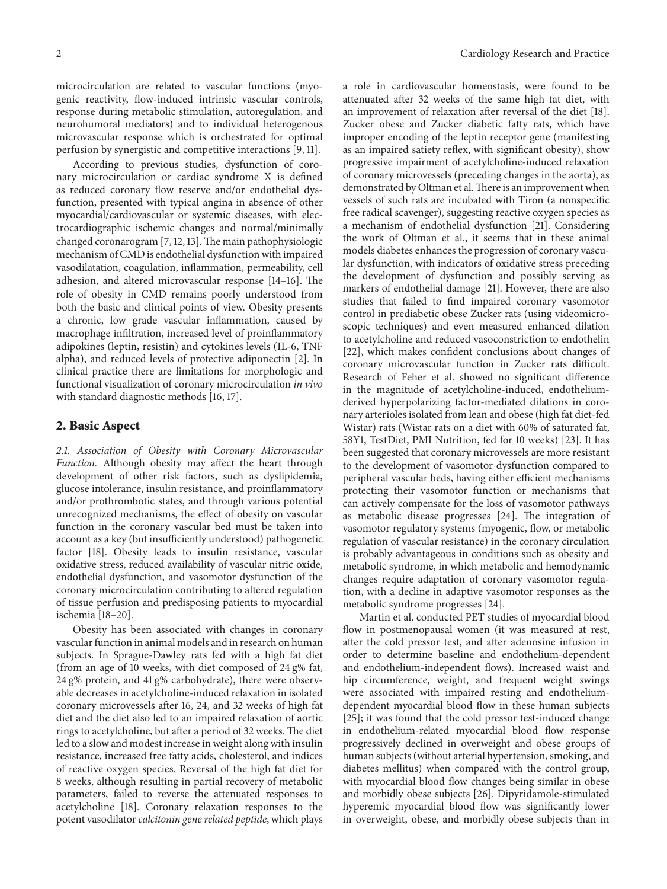microcirculation are related to vascular functions (myogenic reactivity, flow-induced intrinsic vascular controls, response during metabolic stimulation, autoregulation, and neurohumoral mediators) and to individual heterogenous microvascular response which is orchestrated for optimal perfusion by synergistic and competitive interactions [9, 11].

According to previous studies, dysfunction of coronary microcirculation or cardiac syndrome X is defined as reduced coronary flow reserve and/or endothelial dysfunction, presented with typical angina in absence of other myocardial/cardiovascular or systemic diseases, with electrocardiographic ischemic changes and normal/minimally changed coronarogram [7, 12, 13]. The main pathophysiologic mechanism of CMD is endothelial dysfunction with impaired vasodilatation, coagulation, inflammation, permeability, cell adhesion, and altered microvascular response [14–16]. The role of obesity in CMD remains poorly understood from both the basic and clinical points of view. Obesity presents a chronic, low grade vascular inflammation, caused by macrophage infiltration, increased level of proinflammatory adipokines (leptin, resistin) and cytokines levels (IL-6, TNF alpha), and reduced levels of protective adiponectin [2]. In clinical practice there are limitations for morphologic and functional visualization of coronary microcirculation *in vivo* with standard diagnostic methods [16, 17].

#### **2. Basic Aspect**

*2.1. Association of Obesity with Coronary Microvascular Function.* Although obesity may affect the heart through development of other risk factors, such as dyslipidemia, glucose intolerance, insulin resistance, and proinflammatory and/or prothrombotic states, and through various potential unrecognized mechanisms, the effect of obesity on vascular function in the coronary vascular bed must be taken into account as a key (but insufficiently understood) pathogenetic factor [18]. Obesity leads to insulin resistance, vascular oxidative stress, reduced availability of vascular nitric oxide, endothelial dysfunction, and vasomotor dysfunction of the coronary microcirculation contributing to altered regulation of tissue perfusion and predisposing patients to myocardial ischemia [18–20].

Obesity has been associated with changes in coronary vascular function in animal models and in research on human subjects. In Sprague-Dawley rats fed with a high fat diet (from an age of 10 weeks, with diet composed of 24 g% fat, 24 g% protein, and 41 g% carbohydrate), there were observable decreases in acetylcholine-induced relaxation in isolated coronary microvessels after 16, 24, and 32 weeks of high fat diet and the diet also led to an impaired relaxation of aortic rings to acetylcholine, but after a period of 32 weeks. The diet led to a slow and modest increase in weight along with insulin resistance, increased free fatty acids, cholesterol, and indices of reactive oxygen species. Reversal of the high fat diet for 8 weeks, although resulting in partial recovery of metabolic parameters, failed to reverse the attenuated responses to acetylcholine [18]. Coronary relaxation responses to the potent vasodilator *calcitonin gene related peptide*, which plays

a role in cardiovascular homeostasis, were found to be attenuated after 32 weeks of the same high fat diet, with an improvement of relaxation after reversal of the diet [18]. Zucker obese and Zucker diabetic fatty rats, which have improper encoding of the leptin receptor gene (manifesting as an impaired satiety reflex, with significant obesity), show progressive impairment of acetylcholine-induced relaxation of coronary microvessels (preceding changes in the aorta), as demonstrated by Oltman et al.There is an improvement when vessels of such rats are incubated with Tiron (a nonspecific free radical scavenger), suggesting reactive oxygen species as a mechanism of endothelial dysfunction [21]. Considering the work of Oltman et al., it seems that in these animal models diabetes enhances the progression of coronary vascular dysfunction, with indicators of oxidative stress preceding the development of dysfunction and possibly serving as markers of endothelial damage [21]. However, there are also studies that failed to find impaired coronary vasomotor control in prediabetic obese Zucker rats (using videomicroscopic techniques) and even measured enhanced dilation to acetylcholine and reduced vasoconstriction to endothelin [22], which makes confident conclusions about changes of coronary microvascular function in Zucker rats difficult. Research of Feher et al. showed no significant difference in the magnitude of acetylcholine-induced, endotheliumderived hyperpolarizing factor-mediated dilations in coronary arterioles isolated from lean and obese (high fat diet-fed Wistar) rats (Wistar rats on a diet with 60% of saturated fat, 58Y1, TestDiet, PMI Nutrition, fed for 10 weeks) [23]. It has been suggested that coronary microvessels are more resistant to the development of vasomotor dysfunction compared to peripheral vascular beds, having either efficient mechanisms protecting their vasomotor function or mechanisms that can actively compensate for the loss of vasomotor pathways as metabolic disease progresses [24]. The integration of vasomotor regulatory systems (myogenic, flow, or metabolic regulation of vascular resistance) in the coronary circulation is probably advantageous in conditions such as obesity and metabolic syndrome, in which metabolic and hemodynamic changes require adaptation of coronary vasomotor regulation, with a decline in adaptive vasomotor responses as the metabolic syndrome progresses [24].

Martin et al. conducted PET studies of myocardial blood flow in postmenopausal women (it was measured at rest, after the cold pressor test, and after adenosine infusion in order to determine baseline and endothelium-dependent and endothelium-independent flows). Increased waist and hip circumference, weight, and frequent weight swings were associated with impaired resting and endotheliumdependent myocardial blood flow in these human subjects [25]; it was found that the cold pressor test-induced change in endothelium-related myocardial blood flow response progressively declined in overweight and obese groups of human subjects (without arterial hypertension, smoking, and diabetes mellitus) when compared with the control group, with myocardial blood flow changes being similar in obese and morbidly obese subjects [26]. Dipyridamole-stimulated hyperemic myocardial blood flow was significantly lower in overweight, obese, and morbidly obese subjects than in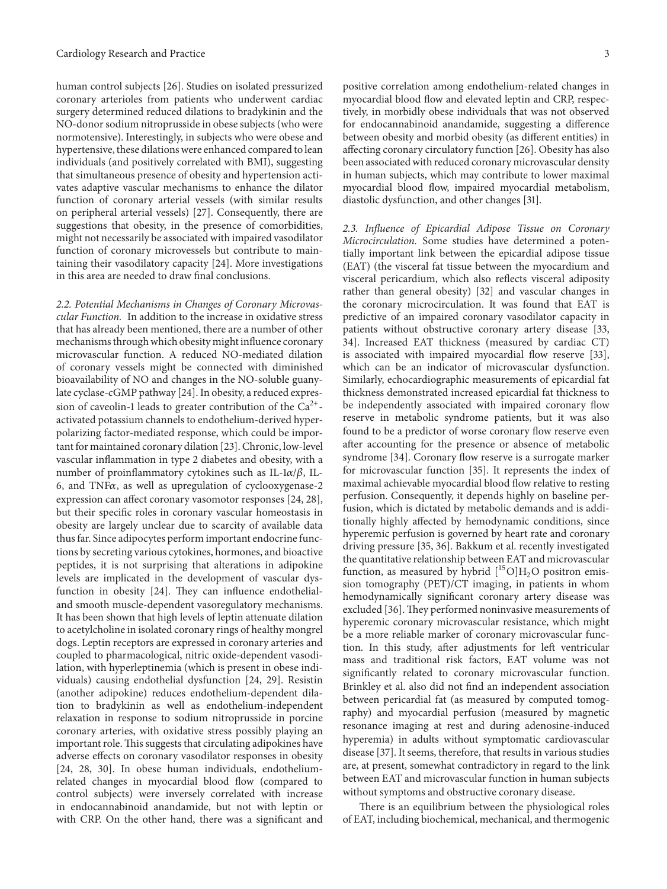human control subjects [26]. Studies on isolated pressurized coronary arterioles from patients who underwent cardiac surgery determined reduced dilations to bradykinin and the NO-donor sodium nitroprusside in obese subjects (who were normotensive). Interestingly, in subjects who were obese and hypertensive, these dilations were enhanced compared to lean individuals (and positively correlated with BMI), suggesting that simultaneous presence of obesity and hypertension activates adaptive vascular mechanisms to enhance the dilator function of coronary arterial vessels (with similar results on peripheral arterial vessels) [27]. Consequently, there are suggestions that obesity, in the presence of comorbidities, might not necessarily be associated with impaired vasodilator function of coronary microvessels but contribute to maintaining their vasodilatory capacity [24]. More investigations in this area are needed to draw final conclusions.

*2.2. Potential Mechanisms in Changes of Coronary Microvascular Function.* In addition to the increase in oxidative stress that has already been mentioned, there are a number of other mechanisms through which obesity might influence coronary microvascular function. A reduced NO-mediated dilation of coronary vessels might be connected with diminished bioavailability of NO and changes in the NO-soluble guanylate cyclase-cGMP pathway [24]. In obesity, a reduced expression of caveolin-1 leads to greater contribution of the  $Ca^{2+}$ activated potassium channels to endothelium-derived hyperpolarizing factor-mediated response, which could be important for maintained coronary dilation [23]. Chronic, low-level vascular inflammation in type 2 diabetes and obesity, with a number of proinflammatory cytokines such as IL-1 $\alpha/\beta$ , IL-6, and TNF $\alpha$ , as well as upregulation of cyclooxygenase-2 expression can affect coronary vasomotor responses [24, 28], but their specific roles in coronary vascular homeostasis in obesity are largely unclear due to scarcity of available data thus far. Since adipocytes perform important endocrine functions by secreting various cytokines, hormones, and bioactive peptides, it is not surprising that alterations in adipokine levels are implicated in the development of vascular dysfunction in obesity [24]. They can influence endothelialand smooth muscle-dependent vasoregulatory mechanisms. It has been shown that high levels of leptin attenuate dilation to acetylcholine in isolated coronary rings of healthy mongrel dogs. Leptin receptors are expressed in coronary arteries and coupled to pharmacological, nitric oxide-dependent vasodilation, with hyperleptinemia (which is present in obese individuals) causing endothelial dysfunction [24, 29]. Resistin (another adipokine) reduces endothelium-dependent dilation to bradykinin as well as endothelium-independent relaxation in response to sodium nitroprusside in porcine coronary arteries, with oxidative stress possibly playing an important role. This suggests that circulating adipokines have adverse effects on coronary vasodilator responses in obesity [24, 28, 30]. In obese human individuals, endotheliumrelated changes in myocardial blood flow (compared to control subjects) were inversely correlated with increase in endocannabinoid anandamide, but not with leptin or with CRP. On the other hand, there was a significant and

positive correlation among endothelium-related changes in myocardial blood flow and elevated leptin and CRP, respectively, in morbidly obese individuals that was not observed for endocannabinoid anandamide, suggesting a difference between obesity and morbid obesity (as different entities) in affecting coronary circulatory function [26]. Obesity has also been associated with reduced coronary microvascular density in human subjects, which may contribute to lower maximal myocardial blood flow, impaired myocardial metabolism, diastolic dysfunction, and other changes [31].

*2.3. Influence of Epicardial Adipose Tissue on Coronary Microcirculation.* Some studies have determined a potentially important link between the epicardial adipose tissue (EAT) (the visceral fat tissue between the myocardium and visceral pericardium, which also reflects visceral adiposity rather than general obesity) [32] and vascular changes in the coronary microcirculation. It was found that EAT is predictive of an impaired coronary vasodilator capacity in patients without obstructive coronary artery disease [33, 34]. Increased EAT thickness (measured by cardiac CT) is associated with impaired myocardial flow reserve [33], which can be an indicator of microvascular dysfunction. Similarly, echocardiographic measurements of epicardial fat thickness demonstrated increased epicardial fat thickness to be independently associated with impaired coronary flow reserve in metabolic syndrome patients, but it was also found to be a predictor of worse coronary flow reserve even after accounting for the presence or absence of metabolic syndrome [34]. Coronary flow reserve is a surrogate marker for microvascular function [35]. It represents the index of maximal achievable myocardial blood flow relative to resting perfusion. Consequently, it depends highly on baseline perfusion, which is dictated by metabolic demands and is additionally highly affected by hemodynamic conditions, since hyperemic perfusion is governed by heart rate and coronary driving pressure [35, 36]. Bakkum et al. recently investigated the quantitative relationship between EAT and microvascular function, as measured by hybrid  $[{}^{15}O]H_2O$  positron emission tomography (PET)/CT imaging, in patients in whom hemodynamically significant coronary artery disease was excluded [36].They performed noninvasive measurements of hyperemic coronary microvascular resistance, which might be a more reliable marker of coronary microvascular function. In this study, after adjustments for left ventricular mass and traditional risk factors, EAT volume was not significantly related to coronary microvascular function. Brinkley et al. also did not find an independent association between pericardial fat (as measured by computed tomography) and myocardial perfusion (measured by magnetic resonance imaging at rest and during adenosine-induced hyperemia) in adults without symptomatic cardiovascular disease [37]. It seems, therefore, that results in various studies are, at present, somewhat contradictory in regard to the link between EAT and microvascular function in human subjects without symptoms and obstructive coronary disease.

There is an equilibrium between the physiological roles of EAT, including biochemical, mechanical, and thermogenic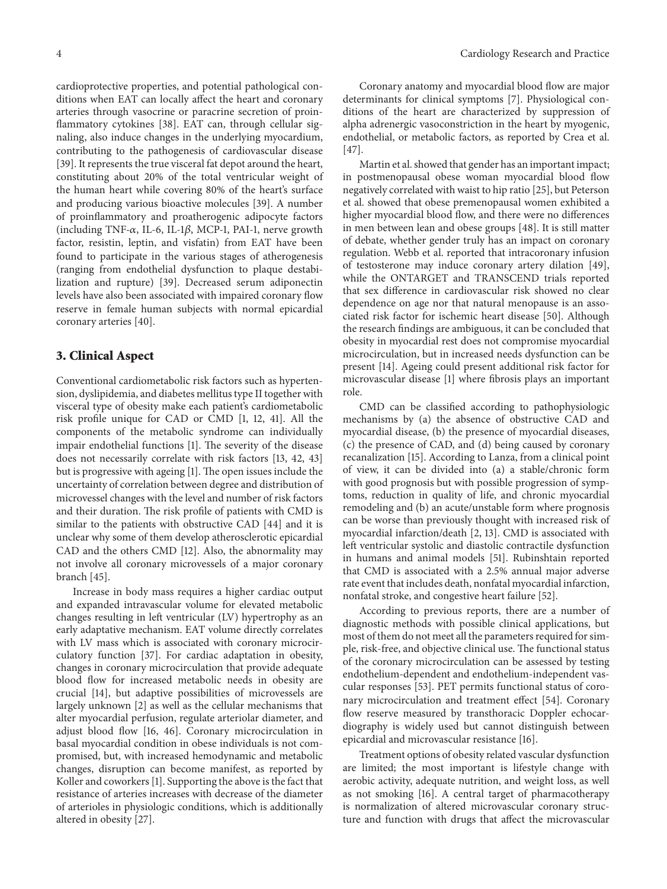cardioprotective properties, and potential pathological conditions when EAT can locally affect the heart and coronary arteries through vasocrine or paracrine secretion of proinflammatory cytokines [38]. EAT can, through cellular signaling, also induce changes in the underlying myocardium, contributing to the pathogenesis of cardiovascular disease [39]. It represents the true visceral fat depot around the heart, constituting about 20% of the total ventricular weight of the human heart while covering 80% of the heart's surface and producing various bioactive molecules [39]. A number of proinflammatory and proatherogenic adipocyte factors (including TNF- $\alpha$ , IL-6, IL-1 $\beta$ , MCP-1, PAI-1, nerve growth factor, resistin, leptin, and visfatin) from EAT have been found to participate in the various stages of atherogenesis (ranging from endothelial dysfunction to plaque destabilization and rupture) [39]. Decreased serum adiponectin levels have also been associated with impaired coronary flow reserve in female human subjects with normal epicardial coronary arteries [40].

#### **3. Clinical Aspect**

Conventional cardiometabolic risk factors such as hypertension, dyslipidemia, and diabetes mellitus type II together with visceral type of obesity make each patient's cardiometabolic risk profile unique for CAD or CMD [1, 12, 41]. All the components of the metabolic syndrome can individually impair endothelial functions [1]. The severity of the disease does not necessarily correlate with risk factors [13, 42, 43] but is progressive with ageing [1]. The open issues include the uncertainty of correlation between degree and distribution of microvessel changes with the level and number of risk factors and their duration. The risk profile of patients with CMD is similar to the patients with obstructive CAD [44] and it is unclear why some of them develop atherosclerotic epicardial CAD and the others CMD [12]. Also, the abnormality may not involve all coronary microvessels of a major coronary branch [45].

Increase in body mass requires a higher cardiac output and expanded intravascular volume for elevated metabolic changes resulting in left ventricular (LV) hypertrophy as an early adaptative mechanism. EAT volume directly correlates with LV mass which is associated with coronary microcirculatory function [37]. For cardiac adaptation in obesity, changes in coronary microcirculation that provide adequate blood flow for increased metabolic needs in obesity are crucial [14], but adaptive possibilities of microvessels are largely unknown [2] as well as the cellular mechanisms that alter myocardial perfusion, regulate arteriolar diameter, and adjust blood flow [16, 46]. Coronary microcirculation in basal myocardial condition in obese individuals is not compromised, but, with increased hemodynamic and metabolic changes, disruption can become manifest, as reported by Koller and coworkers [1]. Supporting the above is the fact that resistance of arteries increases with decrease of the diameter of arterioles in physiologic conditions, which is additionally altered in obesity [27].

Coronary anatomy and myocardial blood flow are major determinants for clinical symptoms [7]. Physiological conditions of the heart are characterized by suppression of alpha adrenergic vasoconstriction in the heart by myogenic, endothelial, or metabolic factors, as reported by Crea et al. [47].

Martin et al. showed that gender has an important impact; in postmenopausal obese woman myocardial blood flow negatively correlated with waist to hip ratio [25], but Peterson et al. showed that obese premenopausal women exhibited a higher myocardial blood flow, and there were no differences in men between lean and obese groups [48]. It is still matter of debate, whether gender truly has an impact on coronary regulation. Webb et al. reported that intracoronary infusion of testosterone may induce coronary artery dilation [49], while the ONTARGET and TRANSCEND trials reported that sex difference in cardiovascular risk showed no clear dependence on age nor that natural menopause is an associated risk factor for ischemic heart disease [50]. Although the research findings are ambiguous, it can be concluded that obesity in myocardial rest does not compromise myocardial microcirculation, but in increased needs dysfunction can be present [14]. Ageing could present additional risk factor for microvascular disease [1] where fibrosis plays an important role.

CMD can be classified according to pathophysiologic mechanisms by (a) the absence of obstructive CAD and myocardial disease, (b) the presence of myocardial diseases, (c) the presence of CAD, and (d) being caused by coronary recanalization [15]. According to Lanza, from a clinical point of view, it can be divided into (a) a stable/chronic form with good prognosis but with possible progression of symptoms, reduction in quality of life, and chronic myocardial remodeling and (b) an acute/unstable form where prognosis can be worse than previously thought with increased risk of myocardial infarction/death [2, 13]. CMD is associated with left ventricular systolic and diastolic contractile dysfunction in humans and animal models [51]. Rubinshtain reported that CMD is associated with a 2.5% annual major adverse rate event that includes death, nonfatal myocardial infarction, nonfatal stroke, and congestive heart failure [52].

According to previous reports, there are a number of diagnostic methods with possible clinical applications, but most of them do not meet all the parameters required for simple, risk-free, and objective clinical use. The functional status of the coronary microcirculation can be assessed by testing endothelium-dependent and endothelium-independent vascular responses [53]. PET permits functional status of coronary microcirculation and treatment effect [54]. Coronary flow reserve measured by transthoracic Doppler echocardiography is widely used but cannot distinguish between epicardial and microvascular resistance [16].

Treatment options of obesity related vascular dysfunction are limited; the most important is lifestyle change with aerobic activity, adequate nutrition, and weight loss, as well as not smoking [16]. A central target of pharmacotherapy is normalization of altered microvascular coronary structure and function with drugs that affect the microvascular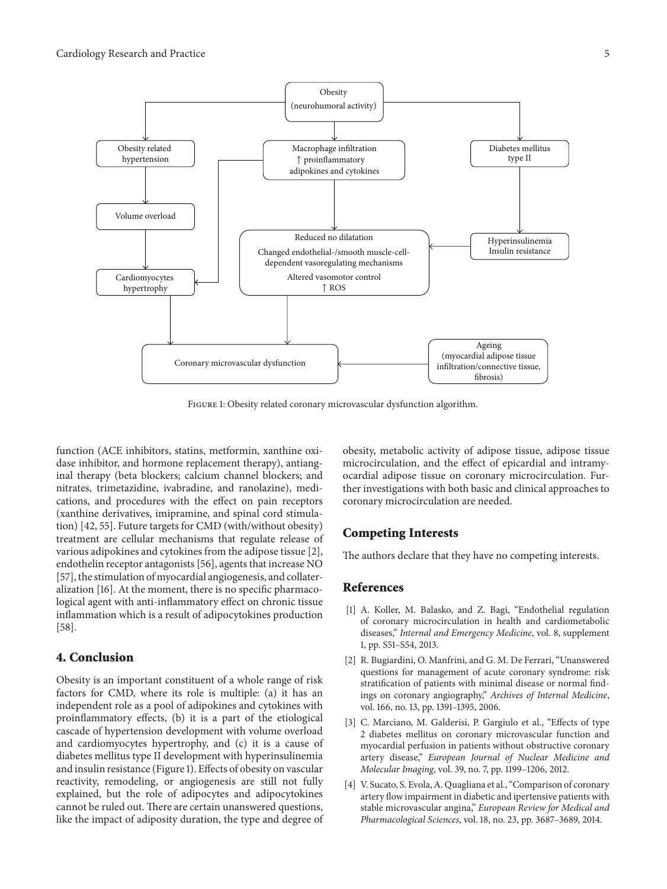

Figure 1: Obesity related coronary microvascular dysfunction algorithm.

function (ACE inhibitors, statins, metformin, xanthine oxidase inhibitor, and hormone replacement therapy), antianginal therapy (beta blockers; calcium channel blockers; and nitrates, trimetazidine, ivabradine, and ranolazine), medications, and procedures with the effect on pain receptors (xanthine derivatives, imipramine, and spinal cord stimulation) [42, 55]. Future targets for CMD (with/without obesity) treatment are cellular mechanisms that regulate release of various adipokines and cytokines from the adipose tissue [2], endothelin receptor antagonists [56], agents that increase NO [57], the stimulation of myocardial angiogenesis, and collateralization [16]. At the moment, there is no specific pharmacological agent with anti-inflammatory effect on chronic tissue inflammation which is a result of adipocytokines production [58].

#### **4. Conclusion**

Obesity is an important constituent of a whole range of risk factors for CMD, where its role is multiple: (a) it has an independent role as a pool of adipokines and cytokines with proinflammatory effects, (b) it is a part of the etiological cascade of hypertension development with volume overload and cardiomyocytes hypertrophy, and (c) it is a cause of diabetes mellitus type II development with hyperinsulinemia and insulin resistance (Figure 1). Effects of obesity on vascular reactivity, remodeling, or angiogenesis are still not fully explained, but the role of adipocytes and adipocytokines cannot be ruled out. There are certain unanswered questions, like the impact of adiposity duration, the type and degree of obesity, metabolic activity of adipose tissue, adipose tissue microcirculation, and the effect of epicardial and intramyocardial adipose tissue on coronary microcirculation. Further investigations with both basic and clinical approaches to coronary microcirculation are needed.

### **Competing Interests**

The authors declare that they have no competing interests.

#### **References**

- [1] A. Koller, M. Balasko, and Z. Bagi, "Endothelial regulation of coronary microcirculation in health and cardiometabolic diseases," *Internal and Emergency Medicine*, vol. 8, supplement 1, pp. S51–S54, 2013.
- [2] R. Bugiardini, O. Manfrini, and G. M. De Ferrari, "Unanswered questions for management of acute coronary syndrome: risk stratification of patients with minimal disease or normal findings on coronary angiography," *Archives of Internal Medicine*, vol. 166, no. 13, pp. 1391–1395, 2006.
- [3] C. Marciano, M. Galderisi, P. Gargiulo et al., "Effects of type 2 diabetes mellitus on coronary microvascular function and myocardial perfusion in patients without obstructive coronary artery disease," *European Journal of Nuclear Medicine and Molecular Imaging*, vol. 39, no. 7, pp. 1199–1206, 2012.
- [4] V. Sucato, S. Evola, A. Quagliana et al., "Comparison of coronary artery flow impairment in diabetic and ipertensive patients with stable microvascular angina," *European Review for Medical and Pharmacological Sciences*, vol. 18, no. 23, pp. 3687–3689, 2014.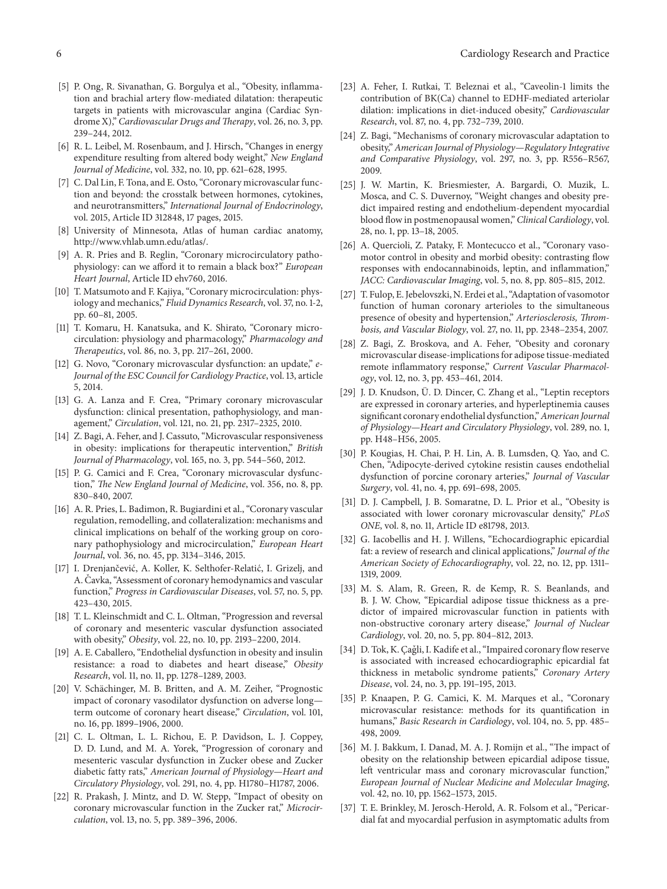- [5] P. Ong, R. Sivanathan, G. Borgulya et al., "Obesity, inflammation and brachial artery flow-mediated dilatation: therapeutic targets in patients with microvascular angina (Cardiac Syndrome X)," *Cardiovascular Drugs and Therapy*, vol. 26, no. 3, pp. 239–244, 2012.
- [6] R. L. Leibel, M. Rosenbaum, and J. Hirsch, "Changes in energy expenditure resulting from altered body weight," *New England Journal of Medicine*, vol. 332, no. 10, pp. 621–628, 1995.
- [7] C. Dal Lin, F. Tona, and E. Osto, "Coronary microvascular function and beyond: the crosstalk between hormones, cytokines, and neurotransmitters," *International Journal of Endocrinology*, vol. 2015, Article ID 312848, 17 pages, 2015.
- [8] University of Minnesota, Atlas of human cardiac anatomy, http://www.vhlab.umn.edu/atlas/.
- [9] A. R. Pries and B. Reglin, "Coronary microcirculatory pathophysiology: can we afford it to remain a black box?" *European Heart Journal*, Article ID ehv760, 2016.
- [10] T. Matsumoto and F. Kajiya, "Coronary microcirculation: physiology and mechanics," *Fluid Dynamics Research*, vol. 37, no. 1-2, pp. 60–81, 2005.
- [11] T. Komaru, H. Kanatsuka, and K. Shirato, "Coronary microcirculation: physiology and pharmacology," *Pharmacology and Therapeutics*, vol. 86, no. 3, pp. 217–261, 2000.
- [12] G. Novo, "Coronary microvascular dysfunction: an update," e-*Journal of the ESC Council for Cardiology Practice*, vol. 13, article 5, 2014.
- [13] G. A. Lanza and F. Crea, "Primary coronary microvascular dysfunction: clinical presentation, pathophysiology, and management," *Circulation*, vol. 121, no. 21, pp. 2317–2325, 2010.
- [14] Z. Bagi, A. Feher, and J. Cassuto, "Microvascular responsiveness in obesity: implications for therapeutic intervention," *British Journal of Pharmacology*, vol. 165, no. 3, pp. 544–560, 2012.
- [15] P. G. Camici and F. Crea, "Coronary microvascular dysfunction," *The New England Journal of Medicine*, vol. 356, no. 8, pp. 830–840, 2007.
- [16] A. R. Pries, L. Badimon, R. Bugiardini et al., "Coronary vascular regulation, remodelling, and collateralization: mechanisms and clinical implications on behalf of the working group on coronary pathophysiology and microcirculation," *European Heart Journal*, vol. 36, no. 45, pp. 3134–3146, 2015.
- [17] I. Drenjančević, A. Koller, K. Selthofer-Relatić, I. Grizelj, and A. Čavka, "Assessment of coronary hemodynamics and vascular function," *Progress in Cardiovascular Diseases*, vol. 57, no. 5, pp. 423–430, 2015.
- [18] T. L. Kleinschmidt and C. L. Oltman, "Progression and reversal of coronary and mesenteric vascular dysfunction associated with obesity," *Obesity*, vol. 22, no. 10, pp. 2193–2200, 2014.
- [19] A. E. Caballero, "Endothelial dysfunction in obesity and insulin resistance: a road to diabetes and heart disease," *Obesity Research*, vol. 11, no. 11, pp. 1278–1289, 2003.
- [20] V. Schächinger, M. B. Britten, and A. M. Zeiher, "Prognostic impact of coronary vasodilator dysfunction on adverse long term outcome of coronary heart disease," *Circulation*, vol. 101, no. 16, pp. 1899–1906, 2000.
- [21] C. L. Oltman, L. L. Richou, E. P. Davidson, L. J. Coppey, D. D. Lund, and M. A. Yorek, "Progression of coronary and mesenteric vascular dysfunction in Zucker obese and Zucker diabetic fatty rats," *American Journal of Physiology—Heart and Circulatory Physiology*, vol. 291, no. 4, pp. H1780–H1787, 2006.
- [22] R. Prakash, J. Mintz, and D. W. Stepp, "Impact of obesity on coronary microvascular function in the Zucker rat," *Microcirculation*, vol. 13, no. 5, pp. 389–396, 2006.
- [23] A. Feher, I. Rutkai, T. Beleznai et al., "Caveolin-1 limits the contribution of BK(Ca) channel to EDHF-mediated arteriolar dilation: implications in diet-induced obesity," *Cardiovascular Research*, vol. 87, no. 4, pp. 732–739, 2010.
- [24] Z. Bagi, "Mechanisms of coronary microvascular adaptation to obesity," *American Journal of Physiology—Regulatory Integrative and Comparative Physiology*, vol. 297, no. 3, pp. R556–R567, 2009.
- [25] J. W. Martin, K. Briesmiester, A. Bargardi, O. Muzik, L. Mosca, and C. S. Duvernoy, "Weight changes and obesity predict impaired resting and endothelium-dependent myocardial blood flow in postmenopausal women," *Clinical Cardiology*, vol. 28, no. 1, pp. 13–18, 2005.
- [26] A. Quercioli, Z. Pataky, F. Montecucco et al., "Coronary vasomotor control in obesity and morbid obesity: contrasting flow responses with endocannabinoids, leptin, and inflammation," *JACC: Cardiovascular Imaging*, vol. 5, no. 8, pp. 805–815, 2012.
- [27] T. Fulop, E. Jebelovszki, N. Erdei et al., "Adaptation of vasomotor function of human coronary arterioles to the simultaneous presence of obesity and hypertension," *Arteriosclerosis, Thrombosis, and Vascular Biology*, vol. 27, no. 11, pp. 2348–2354, 2007.
- [28] Z. Bagi, Z. Broskova, and A. Feher, "Obesity and coronary microvascular disease-implications for adipose tissue-mediated remote inflammatory response," *Current Vascular Pharmacology*, vol. 12, no. 3, pp. 453–461, 2014.
- [29] J. D. Knudson, Ü. D. Dincer, C. Zhang et al., "Leptin receptors are expressed in coronary arteries, and hyperleptinemia causes significant coronary endothelial dysfunction,"*American Journal of Physiology—Heart and Circulatory Physiology*, vol. 289, no. 1, pp. H48–H56, 2005.
- [30] P. Kougias, H. Chai, P. H. Lin, A. B. Lumsden, Q. Yao, and C. Chen, "Adipocyte-derived cytokine resistin causes endothelial dysfunction of porcine coronary arteries," *Journal of Vascular Surgery*, vol. 41, no. 4, pp. 691–698, 2005.
- [31] D. J. Campbell, J. B. Somaratne, D. L. Prior et al., "Obesity is associated with lower coronary microvascular density," *PLoS ONE*, vol. 8, no. 11, Article ID e81798, 2013.
- [32] G. Iacobellis and H. J. Willens, "Echocardiographic epicardial fat: a review of research and clinical applications," *Journal of the American Society of Echocardiography*, vol. 22, no. 12, pp. 1311– 1319, 2009.
- [33] M. S. Alam, R. Green, R. de Kemp, R. S. Beanlands, and B. J. W. Chow, "Epicardial adipose tissue thickness as a predictor of impaired microvascular function in patients with non-obstructive coronary artery disease," *Journal of Nuclear Cardiology*, vol. 20, no. 5, pp. 804–812, 2013.
- [34] D. Tok, K. Çağli, I. Kadife et al., "Impaired coronary flow reserve is associated with increased echocardiographic epicardial fat thickness in metabolic syndrome patients," *Coronary Artery Disease*, vol. 24, no. 3, pp. 191–195, 2013.
- [35] P. Knaapen, P. G. Camici, K. M. Marques et al., "Coronary microvascular resistance: methods for its quantification in humans," *Basic Research in Cardiology*, vol. 104, no. 5, pp. 485– 498, 2009.
- [36] M. J. Bakkum, I. Danad, M. A. J. Romijn et al., "The impact of obesity on the relationship between epicardial adipose tissue, left ventricular mass and coronary microvascular function," *European Journal of Nuclear Medicine and Molecular Imaging*, vol. 42, no. 10, pp. 1562–1573, 2015.
- [37] T. E. Brinkley, M. Jerosch-Herold, A. R. Folsom et al., "Pericardial fat and myocardial perfusion in asymptomatic adults from